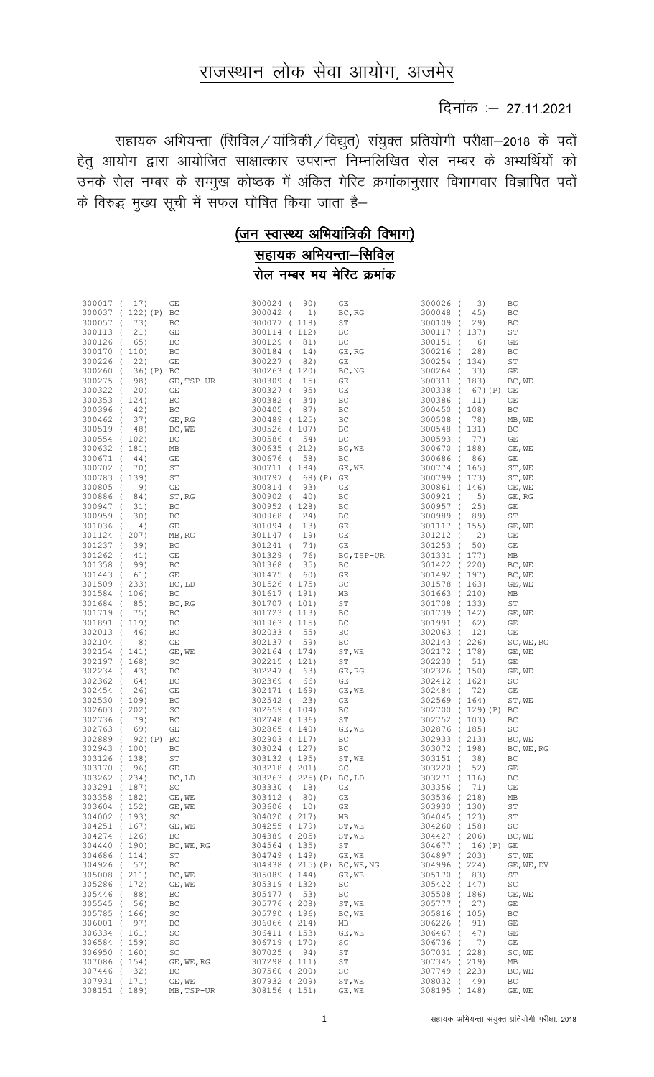## राजस्थान लोक सेवा आयोग, अजमेर

## दिनांक : 27.11.2021

सहायक अभियन्ता (सिविल / यांत्रिकी / विद्युत) संयुक्त प्रतियोगी परीक्षा-2018 के पदों हेतु आयोग द्वारा आयोजित साक्षात्कार उपरान्त निम्नलिखित रोल नम्बर के अभ्यर्थियों को ्<br>उनके रोल नम्बर के सम्मुख कोष्ठक में अंकित मेरिट क्रमांकानुसार विभागवार विज्ञापित पदों के विरुद्ध मुख्य सूची में सफल घोषित किया जाता है–

# $($ जन स्वास्थ्य अभियांत्रिकी विभाग)

<u>सहायक अभियन्ता-सिविल</u> <u>रोल नम्बर मय मेरिट क्रमांक</u>

| 300017 (                     | 17) |            | GE                            | 300024 (                     | 90)                     | GE                                              | 300026 (                 | 3)               | ВC           |
|------------------------------|-----|------------|-------------------------------|------------------------------|-------------------------|-------------------------------------------------|--------------------------|------------------|--------------|
| 300037 (122) (P) BC          |     |            |                               | 300042 (                     | 1)                      | BC, RG                                          | 300048 (                 | 45)              | ВC           |
| 300057 (                     | 73) |            | ВC                            | 300077 (118)                 |                         | SТ                                              | 300109 (                 | 29)              | ВC           |
| 300113 (                     | 21) |            | GE                            | 300114 (112)                 |                         | BC                                              | 300117 (137)             |                  | SΤ           |
| 300126 (                     | 65) |            | BC                            | 300129 (                     | 81)                     | BC                                              | 300151 (                 | 6)               | GE           |
| 300170 (110)                 |     |            | ВC                            | 300184 (                     | 14)                     | GE, RG                                          | 300216 (                 | 28)              | ВC           |
| 300226 (                     | 22) |            | GE                            | 300227 (82)                  |                         | GE                                              | 300254 (134)<br>300264 ( |                  | SΤ           |
| 300260 (<br>300275 (         | 98) | 36) (P)    | BC<br>GE, TSP-UR              | 300263 (120)<br>300309 (     | 15)                     | BC, NG<br>GE                                    | 300311 (183)             | 33)              | GΕ<br>BC, WE |
| 300322 (                     | 20) |            | GE                            | 300327 (                     | 95)                     | GE                                              | 300338 (                 | 67) (P)          | GE           |
| 300353 (124)                 |     |            | BC                            | 300382 (                     | 34)                     | BC                                              | 300386 (                 | 11)              | GΕ           |
| 300396 (                     | 42) |            | BC                            | 300405 (87)                  |                         | BC                                              | 300450 (108)             |                  | BC           |
| 300462 (                     | 37) |            | GE, RG                        | 300489 (125)                 |                         | BC                                              | 300508 (                 | 78)              | MB, WE       |
| 300519 (                     | 48) |            | BC, WE                        | 300526 (107)                 |                         | BC                                              | 300548 (131)             |                  | BC           |
| 300554 (102)                 |     |            | BC                            | 300586 (                     | 54)                     | BC                                              | 300593 (                 | 77)              | GE           |
| 300632 (181)                 |     |            | МB                            | 300635 (212)                 |                         | $\mathbb{B}\mathbb{C}$ , $\mathbb{W}\mathbb{E}$ | 300670 (188)             |                  | GE, WE       |
| 300671 (                     | 44) |            | GE                            | 300676 ( 58)                 |                         | BC                                              | 300686 (                 | 86)              | GE           |
| 300702 (                     | 70) |            | ST                            | 300711 (184)                 |                         | GE, WE                                          | 300774 (165)             |                  | ST, WE       |
| 300783 (139)                 |     |            | ST                            | 300797 (                     | 68) (P)                 | GE                                              | 300799 (173)             |                  | ST, WE       |
| 300805 (                     | 9)  |            | GE                            | 300814 (                     | 93)                     | GE                                              | 300861 (146)             |                  | GE, WE       |
| 300886 (                     | 84) |            | ST, RG                        | 300902 (                     | 40)                     | BC                                              | 300921 (                 | 5)               | GE, RG       |
| 300947 (                     | 31) |            | ВC                            | 300952 (128)                 |                         | BC                                              | 300957 (                 | 25)              | GE           |
| 300959 (                     | 30) |            | ВC                            | 300968 (                     | 24)                     | BC                                              | 300989 (                 | 89)              | SΤ           |
| 301036 (                     | 4)  |            | GE                            | 301094 (                     | 13)                     | GE                                              | 301117 (155)             |                  | GE, WE       |
| 301124 (207)<br>301237 (     | 39) |            | MB, RG<br>ВC                  | 301147 (<br>301241 (         | 19)<br>74)              | GE<br>GE                                        | 301212 (<br>301253 (     | 2)<br>50)        | GE<br>GE     |
| 301262 (                     | 41) |            | GE                            | 301329 (                     | 76)                     | BC, TSP-UR                                      | 301331 (177)             |                  | MB           |
| 301358 (                     | 99) |            | BC                            | 301368 (                     | 35)                     | ВC                                              | 301422 (220)             |                  | BC, WE       |
| 301443 (                     | 61) |            | GE                            | 301475 (                     | 60)                     | GE                                              | 301492 (197)             |                  | BC, WE       |
| 301509 (233)                 |     |            | BC, LD                        | 301526 (175)                 |                         | SC                                              | 301578 (163)             |                  | GE, WE       |
| 301584 (106)                 |     |            | BC                            | 301617 (191)                 |                         | МB                                              | 301663 (210)             |                  | МB           |
| 301684 (                     | 85) |            | BC, RG                        | 301707 (101)                 |                         | SТ                                              | 301708 (133)             |                  | SТ           |
| 301719 (                     | 75) |            | ВC                            | 301723 (113)                 |                         | ВC                                              | 301739 (142)             |                  | GE, WE       |
| 301891 (119)                 |     |            | ВC                            | 301963 (115)                 |                         | ВC                                              | 301991 (                 | 62)              | GE           |
| 302013 (                     | 46) |            | ВC                            | 302033 (                     | 55)                     | BC                                              | 302063 (                 | 12)              | GE           |
| 302104 (                     | 8)  |            | GE                            | 302137 (                     | 59)                     | BC                                              | 302143 (226)             |                  | SC, WE, RG   |
| 302154 (141)                 |     |            | $\mathbb{GE}$ , $\mathbb{WE}$ | 302164 (174)                 |                         | ST, WE                                          | 302172 (178)             |                  | GE, WE       |
| 302197 (168)                 |     |            | SC                            | 302215 (121)                 |                         | ST                                              | 302230 (                 | 51)              | GE           |
| 302234 (                     | 43) |            | ВC                            | 302247 (                     | 63)                     | GE, RG                                          | 302326 (150)             |                  | GE, WE       |
| 302362 (                     | 64) |            | ВC                            | 302369 (                     | 66)                     | GE                                              | 302412 (162)             |                  | SC           |
| 302454 (<br>302530 (109)     | 26) |            | GE<br>ВC                      | 302471 (169)<br>302542 (     | 23)                     | GE, WE<br>GE                                    | 302484 (<br>302569 (164) | 72)              | GΕ<br>ST, WE |
| 302603 (202)                 |     |            | SC                            | 302659 (104)                 |                         | ВC                                              |                          | 302700 (129)(P)  | ВC           |
| 302736 (                     | 79) |            | ВC                            | 302748 (136)                 |                         | ST                                              | 302752 (103)             |                  | ВC           |
| 302763 (                     | 69) |            | GE                            | 302865 (140)                 |                         | GE, WE                                          | 302876 (185)             |                  | SC           |
| 302889 (                     |     | 92) (P) BC |                               | 302903 (117)                 |                         | ВC                                              | 302933 (213)             |                  | BC, WE       |
| 302943 (100)                 |     |            | ВC                            | 303024 (127)                 |                         | ВC                                              | 303072 (198)             |                  | BC, WE, RG   |
| 303126 (138)                 |     |            | ST                            | 303132 (195)                 |                         | ST, WE                                          | 303151 (                 | 38)              | ВC           |
| 303170 (                     | 96) |            | GE                            | 303218 ( 201)                |                         | SC                                              | 303220 (                 | 52)              | GΕ           |
| 303262 (234)                 |     |            | BC, LD                        |                              | 303263 (225) (P) BC, LD |                                                 | 303271 (116)             |                  | ВC           |
| 303291 (187)                 |     |            | SC                            | 303330 (                     | 18)                     | GE                                              | 303356 ( 71)             |                  | GΕ           |
| 303358 (182)                 |     |            | GE, WE                        | 303412 (                     | 80)                     | GE                                              | 303536 (218)             |                  | МB           |
| 303604 (152)                 |     |            | GE, WE                        | 303606 ( 10)                 |                         | GE                                              | 303930 (130)             |                  | SΤ           |
| 304002 (193)                 |     |            | SC                            | 304020 (217)                 |                         | MB                                              | 304045 (123)             |                  | SТ           |
| 304251 (167)<br>304274 (126) |     |            | GE, WE<br>ВC                  | 304255 (179)<br>304389 (205) |                         | ST, WE                                          | 304260 (158)             |                  | SC           |
| 304440 (190)                 |     |            | BC, WE, RG                    | 304564 (135)                 |                         | ST, WE<br>ST                                    | 304427 (206)             | 304677 ( 16) (P) | BC, WE<br>GE |
| 304686 (114)                 |     |            | ST                            | 304749 (149)                 |                         | GE, WE                                          | 304897 (203)             |                  | ST, WE       |
| 304926 ( 57)                 |     |            | ВC                            |                              |                         | 304938 (215) (P) BC, WE, NG                     | 304996 (224)             |                  | GE, WE, DV   |
| 305008 (211)                 |     |            | BC, WE                        | 305089 (144)                 |                         | GE, WE                                          | 305170 (                 | 83)              | SТ           |
| 305286 (172)                 |     |            | GE, WE                        | 305319 (132)                 |                         | BC                                              | 305422 (147)             |                  | SC           |
| 305446 (                     | 88) |            | ВC                            | 305477 ( 53)                 |                         | BC                                              | 305508 (186)             |                  | GE, WE       |
| 305545 ( 56)                 |     |            | ВC                            | 305776 (208)                 |                         | ST, WE                                          | 305777 (                 | 27)              | GE           |
| 305785 (166)                 |     |            | SC                            | 305790 (196)                 |                         | BC, WE                                          | 305816 (105)             |                  | ВC           |
| 306001 ( 97)                 |     |            | ВC                            | 306066 (214)                 |                         | MB                                              | 306226 (                 | 91)              | GΕ           |
| 306334 (161)                 |     |            | SC                            | 306411 (153)                 |                         | GE, WE                                          | 306467 (                 | 47)              | GΕ           |
| 306584 (159)                 |     |            | SC                            | 306719 (170)                 |                         | SC                                              | 306736 (                 | 7)               | GΕ           |
| 306950 (160)                 |     |            | SC                            | 307025 (94)                  |                         | ST                                              | 307031 (228)             |                  | SC, WE       |
| 307086 (154)                 |     |            | GE, WE, RG                    | 307298 (111)                 |                         | SТ                                              | 307345 (219)             |                  | МB           |
| 307446 (32)                  |     |            | ВC                            | 307560 (200)                 |                         | SC                                              | 307749 (223)             |                  | BC, WE       |
| 307931 (171)                 |     |            | GE, WE                        | 307932 (209)                 |                         | ST, WE                                          | 308032 (                 | 49)              | ВC           |
| 308151 (189)                 |     |            | MB, TSP-UR                    | 308156 (151)                 |                         | GE, WE                                          | 308195 (148)             |                  | GE, WE       |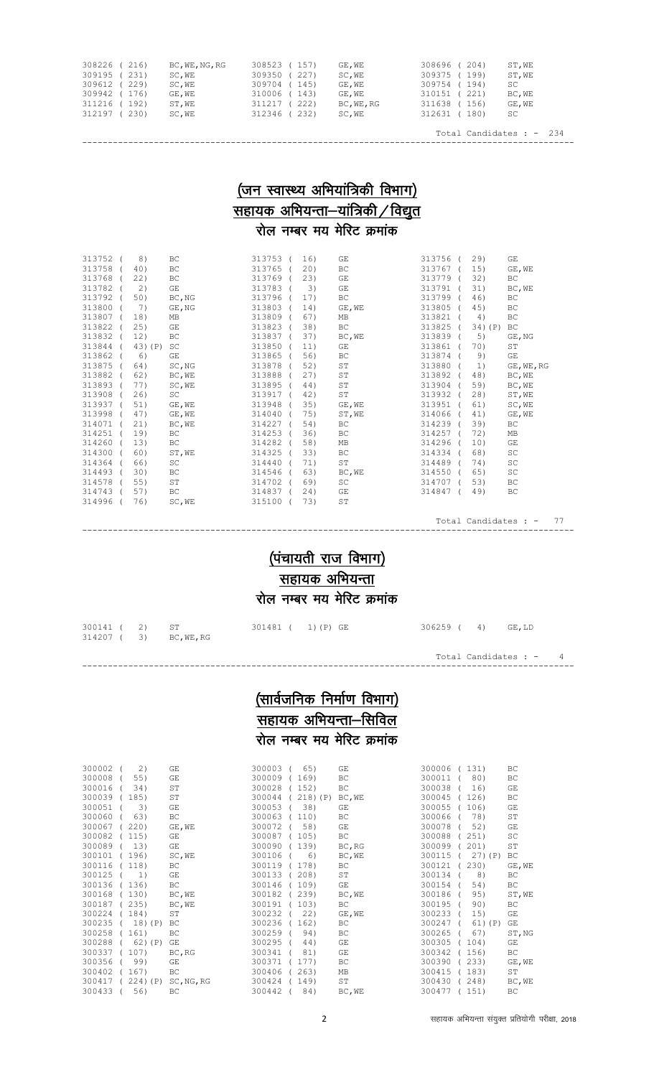| 308226 (216) | BC, WE, NG, RG | 308523 (157)   | GE, WE     | 308696 (204)    | ST, WE |
|--------------|----------------|----------------|------------|-----------------|--------|
| 309195 (231) | SC,WE          | 227<br>309350  | SC, WE     | 309375 (199)    | ST, WE |
| 309612 (229) | SC,WE          | 309704 (145)   | GE, WE     | 309754 (194)    | SC.    |
| 309942 (176) | GE, WE         | 310006 (143)   | GE.WE      | 221)<br>310151  | BC, WE |
| 311216 (192) | ST,WE          | 222)<br>311217 | BC, WE, RG | 311638 (156)    | GE, WE |
| 312197 (230) | SC, WE         | 312346 (232)   | SC, WE     | 312631<br>(180) | SC     |
|              |                |                |            |                 |        |

 Total Candidates : - 234 ------------------------------------------------------------------------------------------------

### $($ जन स्वास्थ्य अभियांत्रिकी विभाग)  $\frac{1}{2}$ सहायक अभियन्ता-यांत्रिकी / विद्युत रोल नम्बर मय मेरिट क्रमांक

| 313752 | 8)      | BC        | 313753 ( | 16) | GE        | 313756 | 29)       | GE         |
|--------|---------|-----------|----------|-----|-----------|--------|-----------|------------|
| 313758 | 40)     | <b>BC</b> | 313765   | 20) | <b>BC</b> | 313767 | 15)       | GE, WE     |
| 313768 | 22)     | <b>BC</b> | 313769   | 23) | <b>GE</b> | 313779 | 32)       | <b>BC</b>  |
| 313782 | 2)      | GE        | 313783   | 3)  | <b>GE</b> | 313791 | 31)       | BC, WE     |
| 313792 | 50)     | BC, NG    | 313796   | 17) | <b>BC</b> | 313799 | 46)       | <b>BC</b>  |
| 313800 | 7)      | GE, NG    | 313803   | 14) | GE, WE    | 313805 | 45)       | ВC         |
| 313807 | 18)     | MB        | 313809   | 67) | MB        | 313821 | 4)        | <b>BC</b>  |
| 313822 | 25)     | <b>GE</b> | 313823   | 38) | BC        | 313825 | $34)$ (P) | BC         |
| 313832 | 12)     | <b>BC</b> | 313837   | 37) | BC, WE    | 313839 | 5)        | GE, NG     |
| 313844 | 43) (P) | SC        | 313850   | 11) | <b>GE</b> | 313861 | 70)       | <b>ST</b>  |
| 313862 | 6)      | GE        | 313865   | 56) | <b>BC</b> | 313874 | 9)        | GE         |
| 313875 | 64)     | SC, NG    | 313878   | 52) | <b>ST</b> | 313880 | 1)        | GE, WE, RG |
| 313882 | 62)     | BC, WE    | 313888   | 27) | <b>ST</b> | 313892 | 48)       | BC, WE     |
| 313893 | 77)     | SC, WE    | 313895   | 44) | ST        | 313904 | 59)       | BC, WE     |
| 313908 | 26)     | SC        | 313917   | 42) | ST        | 313932 | 28)       | ST, WE     |
| 313937 | 51)     | GE, WE    | 313948   | 35) | GE, WE    | 313951 | 61)       | SC, WE     |
| 313998 | 47)     | GE, WE    | 314040   | 75) | ST, WE    | 314066 | 41)       | GE, WE     |
| 314071 | 21)     | BC, WE    | 314227   | 54) | <b>BC</b> | 314239 | 39)       | BC.        |
| 314251 | 19)     | BC.       | 314253   | 36) | BC.       | 314257 | 72)       | MB         |
| 314260 | 13)     | BC.       | 314282   | 58) | MB        | 314296 | 10)       | <b>GE</b>  |
| 314300 | 60)     | ST, WE    | 314325   | 33) | <b>BC</b> | 314334 | 68)       | SC         |
| 314364 | 66)     | SC        | 314440   | 71) | ST        | 314489 | 74)       | SC         |
| 314493 | 30)     | <b>BC</b> | 314546   | 63) | BC, WE    | 314550 | 65)       | SC         |
| 314578 | 55)     | ST        | 314702   | 69) | <b>SC</b> | 314707 | 53)       | <b>BC</b>  |
| 314743 | 57)     | BC.       | 314837   | 24) | GΕ        | 314847 | 49)       | BC.        |
| 314996 | 76)     | SC, WE    | 315100   | 73) | <b>ST</b> |        |           |            |
|        |         |           |          |     |           |        |           |            |

Total Candidates : - 77

## $(i$ चायती राज विभाग) सहायक अभियन्ता रोल नम्बर मय मेरिट क्रमांक

------------------------------------------------------------------------------------------------

| 300141 ( 2)<br>314207 ( 3) BC, WE, RG | ST ST | 301481 ( 1)(P) GE | 306259 ( 4) GE, LD |                         |  |
|---------------------------------------|-------|-------------------|--------------------|-------------------------|--|
|                                       |       |                   |                    | Total Candidates : $-4$ |  |

------------------------------------------------------------------------------------------------

## $(M$ र्तार्वजनिक निर्माण विभाग) .<br><u>सहायक अभियन्ता-सिविल</u> रोल नम्बर मय मेरिट क्रमांक

| 300002 | 2)         | <b>GE</b>  | 300003 | 65)        | GE     | 300006 | 131)      | ВC     |
|--------|------------|------------|--------|------------|--------|--------|-----------|--------|
| 300008 | 55)        | GΕ         | 300009 | 169)       | BC     | 300011 | 80)       | ВC     |
| 300016 | 34)        | ST         | 300028 | 152)       | BC     | 300038 | 16)       | GE     |
| 300039 | 185)       | SΤ         | 300044 | $218)$ (P) | BC, WE | 300045 | 126)      | ВC     |
| 300051 | 3)         | GE         | 300053 | 38)        | GE     | 300055 | 106)      | GΕ     |
| 300060 | 63)        | BC         | 300063 | 110)       | BC     | 300066 | 78)       | ST     |
| 300067 | 220)       | GE, WE     | 300072 | 58)        | GE     | 300078 | 52)       | GE     |
| 300082 | 115)       | GΕ         | 300087 | 105)       | ВC     | 300088 | 251)      | SC     |
| 300089 | 13)        | GE         | 300090 | 139)       | BC, RG | 300099 | 201)      | ST     |
| 300101 | 196)       | SC, WE     | 300106 | 6)         | BC, WE | 300115 | $27)$ (P) | ВC     |
| 300116 | 118)       | ВC         | 300119 | 178)       | ВC     | 300121 | 230)      | GE, WE |
| 300125 | 1)         | GE         | 300133 | 208)       | ST     | 300134 | 8)        | BC.    |
| 300136 | 136)       | ВC         | 300146 | 109)       | GE     | 300154 | 54)       | ВC     |
| 300168 | 130)       | BC, WE     | 300182 | 239)       | BC, WE | 300186 | 95)       | ST, WE |
| 300187 | 235)       | BC, WE     | 300191 | 103)       | ВC     | 300195 | 90)       | ВC     |
| 300224 | 184)       | ST         | 300232 | 22)        | GE, WE | 300233 | 15)       | GΕ     |
| 300235 | $18)$ (P)  | ВC         | 300236 | 162)       | ВC     | 300247 | $61)$ (P) | GE     |
| 300258 | 161)       | ВC         | 300259 | 94)        | ВC     | 300265 | 67)       | ST, NG |
| 300288 | $62)$ (P)  | GΕ         | 300295 | 44)        | GE     | 300305 | 104)      | GΕ     |
| 300337 | 107)       | BC, RG     | 300341 | 81)        | GE     | 300342 | 156)      | ВC     |
| 300356 | 99)        | GΕ         | 300371 | 177)       | ВC     | 300390 | 233)      | GE, WE |
| 300402 | 167)       | ВC         | 300406 | 263)       | МB     | 300415 | 183)      | ST     |
| 300417 | $224)$ (P) | SC, NG, RG | 300424 | 149)       | ST     | 300430 | 248)      | BC, WE |
| 300433 | 56)        | ВC         | 300442 | 84)        | BC, WE | 300477 | 151)      | BC.    |

| 300006 (131) |   |         |         | ВC           |
|--------------|---|---------|---------|--------------|
| 300011 (     |   | 80)     |         | ВC           |
| 300038 ( 16) |   |         |         | GΕ           |
| 300045 (126) |   |         |         | ВC           |
| 300055 (106) |   |         |         | GE           |
| 300066 (     |   | 78)     |         | ST           |
| 300078 (     |   | 52)     |         | GE           |
| 300088 (251) |   |         |         | SC.          |
| 300099 (201) |   |         |         | SΤ           |
| 300115 (     |   |         | 27) (P) | ВC           |
| 300121 (     |   | 230)    |         | GE, WE       |
| 300134 (     |   | 8)      |         | ВC           |
| 300154       | ( | 54)     |         | ВC           |
| 300186 (     |   | 95)     |         | ST,WE        |
| 300195       | ( | 90)     |         | ВC           |
| 300233 (     |   | 15)     |         | GΕ           |
| 300247       | ( | 61) (P) |         | GE           |
| 300265       | ( | 67)     |         | ST, NG       |
| 300305 (104) |   |         |         | GE           |
| 300342 (156) |   |         |         | ВC           |
| 300390 (233) |   |         |         | $GE$ , WE    |
| 300415 (183) |   |         |         | ST           |
| 300430 (248) |   |         |         | BC, WE       |
| $20017777$   |   | 1511    |         | $D^{\prime}$ |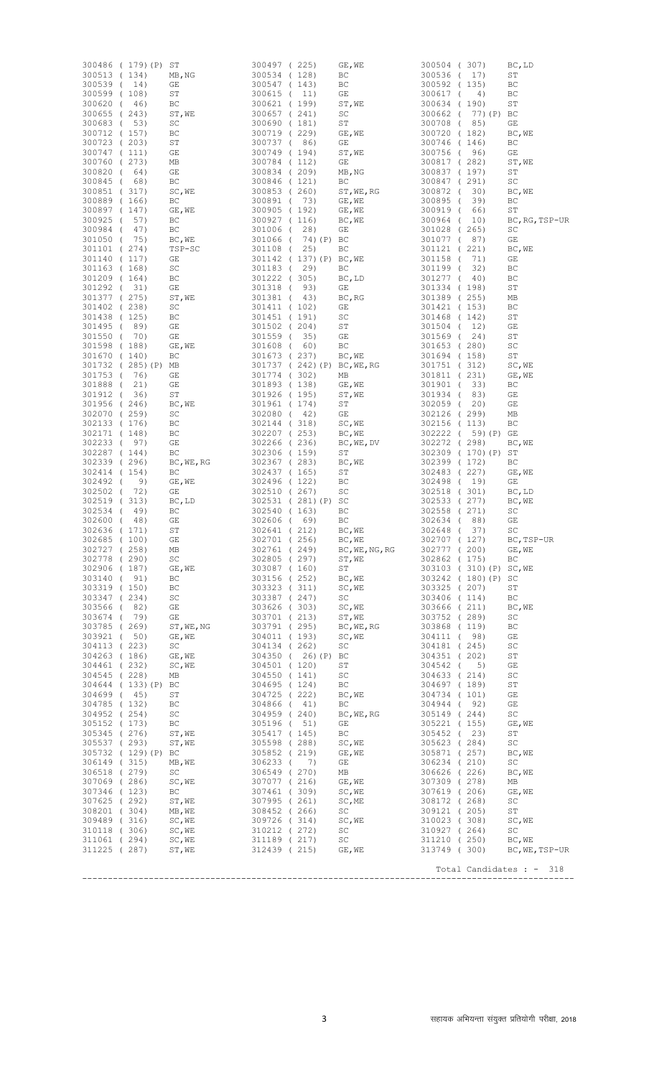|                                              | 300486 ( 179)(P)    | ST               | 300497 (225)                         |                                | GE, WE                                                | 300504 (307)                                 |                 | BC, LD                   |
|----------------------------------------------|---------------------|------------------|--------------------------------------|--------------------------------|-------------------------------------------------------|----------------------------------------------|-----------------|--------------------------|
| 300513 (134)                                 |                     | MB, NG           | 300534 (128)                         |                                | ВC                                                    | 300536<br>$\sqrt{2}$                         | 17)             | ST                       |
| 300539 ( 14)                                 |                     | GE               | 300547 (143)                         |                                | ВC                                                    | 300592<br>300617                             | (135)           | ВC                       |
| 300599 (108)<br>300620 (                     | 46)                 | ST<br>ВC         | 300615<br>300621                     | $\left($<br>11)<br>(199)       | GE<br>ST, WE                                          | $\left($<br>300634                           | 4)<br>(190)     | ВC<br>SΤ                 |
| 300655                                       | (243)               | ST, WE           | 300657                               | (241)                          | SC                                                    | 300662                                       | 77) (P)         | BC                       |
| 300683                                       | $\sqrt{2}$<br>53)   | SC               | 300690                               | (181)                          | ST                                                    | 300708<br>$\left($                           | 85)             | GE                       |
| 300712 (157)                                 |                     | ВC               | 300719                               | (229)                          | GE, WE                                                | 300720                                       | (182)           | BC, WE                   |
| 300723 (203)<br>300747 (111)                 |                     | ST<br>GΕ         | 300737 (<br>300749                   | 86)<br>(194)                   | GE<br>ST, WE                                          | 300746<br>300756<br>$\left($                 | (146)<br>96)    | ВC<br>GΕ                 |
| 300760 (273)                                 |                     | МB               | 300784 (112)                         |                                | GE                                                    | 300817                                       | (282)           | ST, WE                   |
| 300820                                       | 64)<br>$\left($     | GΕ               | 300834                               | (209)                          | MB, NG                                                | 300837                                       | (197)           | ST                       |
| 300845                                       | 68)<br>$\left($     | ВC               | 300846                               | (121)                          | BC                                                    | 300847                                       | (291)           | SC                       |
| 300851 (317)<br>300889 (166)                 |                     | SC, WE<br>ВC     | 300853 (260)<br>300891<br>$\sqrt{2}$ | 73)                            | ST, WE, RG<br>GE, WE                                  | 300872<br>$\sqrt{2}$<br>300895<br>$\sqrt{ }$ | 30)<br>39)      | BC, WE<br>BC             |
| 300897 (147)                                 |                     | GE, WE           | 300905 (192)                         |                                | GE, WE                                                | 300919<br>$\sqrt{2}$                         | 66)             | ST                       |
| 300925<br>$\sqrt{ }$                         | 57)                 | ВC               | 300927 (116)                         |                                | BC, WE                                                | 300964<br>$\left($                           | 10)             | BC, RG, TSP-UR           |
| 300984<br>$\sqrt{ }$                         | 47)                 | ВC               | 301006<br>$\sqrt{ }$                 | 28)                            | GE                                                    | 301028<br>$\sqrt{2}$                         | 265)            | SC                       |
| 301050<br>$\sqrt{2}$                         | 75)                 | BC, WE           | 301066<br>$\sqrt{ }$                 | 74) (P) BC                     |                                                       | 301077<br>$\sqrt{2}$                         | 87)             | GΕ                       |
| 301101 (274)<br>301140                       | (117)               | TSP-SC<br>GE     | 301108 (                             | 25)<br>301142 (137) (P) BC, WE | BC                                                    | 301121<br>$\left($<br>301158<br>$\sqrt{ }$   | 221)<br>71)     | BC, WE<br>GΕ             |
| 301163 (168)                                 |                     | SC               | 301183 (                             | 29)                            | ВC                                                    | 301199<br>$\sqrt{ }$                         | 32)             | ВC                       |
| 301209 (164)                                 |                     | ВC               | 301222 (305)                         |                                | BC, LD                                                | 301277<br>$\sqrt{2}$                         | 40)             | BС                       |
| 301292 (                                     | 31)                 | GE               | 301318<br>$\sqrt{ }$                 | 93)                            | GE                                                    | 301334 (198)                                 |                 | SТ                       |
| 301377 (275)<br>301402 (238)                 |                     | ST, WE<br>SC     | 301381<br>$\sqrt{ }$<br>301411 (102) | 43)                            | BC, RG<br>GE                                          | 301389<br>301421 (153)                       | (255)           | МB<br>ВC                 |
| 301438 (125)                                 |                     | ВC               | 301451 (191)                         |                                | SC                                                    | 301468                                       | (142)           | SТ                       |
| 301495 (                                     | 89)                 | GE               | 301502 (204)                         |                                | ST                                                    | 301504 (                                     | 12)             | GΕ                       |
| 301550<br>$\sqrt{ }$                         | 70)                 | GE               | 301559<br>$\sqrt{ }$                 | 35)                            | GE                                                    | 301569<br>$\sqrt{ }$                         | 24)             | ST                       |
| 301598 (188)                                 |                     | GE, WE           | 301608 (                             | 60)                            | BC                                                    | 301653 (280)                                 |                 | SC                       |
| 301670 (140)                                 | 301732 (285)(P)     | BC<br>МB         | 301673                               | (237)<br>301737 ( 242) (P)     | BC, WE<br>BC, WE, RG                                  | 301694 (158)<br>301751 (312)                 |                 | ST<br>SC, WE             |
| 301753<br>$\sqrt{2}$                         | 76)                 | GE               | 301774 (302)                         |                                | МB                                                    | 301811 (                                     | 231)            | GE, WE                   |
| 301888 (                                     | 21)                 | GE               | 301893 (138)                         |                                | GE, WE                                                | 301901 (                                     | 33)             | BC                       |
| 301912 (                                     | 36)                 | ST               | 301926 (195)                         |                                | ST, WE                                                | 301934 (                                     | 83)             | GΕ                       |
| 301956 (246)                                 |                     | BC, WE           | 301961 (174)                         |                                | ST                                                    | 302059 (                                     | 20)             | GΕ                       |
| 302070<br>302133 (176)                       | (259)               | SC<br>ВC         | 302080<br>$\sqrt{ }$<br>302144 (318) | 42)                            | GE<br>$\texttt{SC}{}$ , $\texttt{WE}{}$               | 302126<br>$\sqrt{2}$<br>302156               | 299)<br>(113)   | МB<br>BC                 |
| 302171 (148)                                 |                     | ВC               | 302207 (253)                         |                                | BC, WE                                                | 302222<br>$\left($                           | 59) (P)         | GE                       |
| 302233 (97)                                  |                     | GΕ               | 302266 (236)                         |                                | BC, WE, DV                                            | 302272                                       | (298)           | BC, WE                   |
| 302287 (144)                                 |                     | BC               | 302306 (159)                         |                                | ST                                                    | 302309<br>$\sqrt{2}$                         | 170) (P)        | ST                       |
| 302339 (296)<br>302414                       | (154)               | BC, WE, RG<br>BC | 302367 (283)<br>302437 (165)         |                                | $\mathbb{B}\mathbb{C}$ , $\mathbb{W}\mathbb{E}$<br>ST | 302399 (172)<br>302483<br>$\sqrt{2}$         | 227)            | BC<br>GE, WE             |
| 302492<br>$\sqrt{ }$                         | 9)                  | GE, WE           | 302496 (122)                         |                                | ВC                                                    | 302498                                       | (19)            | GΕ                       |
| 302502<br>$\sqrt{2}$                         | 72)                 | GΕ               | 302510                               | 267)<br>$\sqrt{2}$             | SC                                                    | 302518<br>$\sqrt{2}$                         | 301)            | BC, LD                   |
| 302519 (313)                                 |                     | BC, LD           |                                      | 302531 (281)(P) SC             |                                                       | 302533                                       | (277)           | BC, WE                   |
| 302534<br>$\sqrt{2}$<br>302600<br>$\sqrt{2}$ | 49)<br>48)          | ВC<br>GΕ         | 302540<br>302606 (                   | (163)<br>69)                   | ВC<br>BC                                              | 302558<br>$\sqrt{2}$<br>302634<br>$\sqrt{ }$ | 271)<br>88)     | SC<br>GΕ                 |
| 302636 (171)                                 |                     | ST               | 302641 (                             | 212)                           | BC, WE                                                | 302648<br>$\overline{ }$                     | 37)             | SC                       |
| 302685 (100)                                 |                     | GΕ               | 302701 (256)                         |                                | BC, WE                                                | 302707 (127)                                 |                 | BC, TSP-UR               |
| 302727 (258)                                 |                     | МB               | 302761 (249)                         |                                | BC, WE, NG, RG                                        | 302777 (200)                                 |                 | GE, WE                   |
| 302778 (290)<br>302906 (187)                 |                     | SC               | 302805 (297)                         |                                | ST, WE                                                | 302862 (175)                                 |                 | BC                       |
| 303140 ( 91)                                 |                     | GE, WE<br>BC.    | 303087 (160)<br>303156 (252)         |                                | ST<br>BC, WE                                          | 303242 (180) (P)                             | 303103 (310)(P) | SC, WE<br>SC             |
| 303319 (150)                                 |                     | ВC               | 303323 (311)                         |                                | SC, WE                                                | 303325 (207)                                 |                 | ST                       |
| 303347 (234)                                 |                     | SC               | 303387 (247)                         |                                | SC                                                    | 303406 (114)                                 |                 | BC                       |
| 303566 (                                     | 82)                 | GΕ               | 303626 (303)                         |                                | SC, WE                                                | 303666 (211)                                 |                 | BC, WE                   |
| 303674 ( 79)<br>303785 (269)                 |                     | GE<br>ST, WE, NG | 303701 (213)<br>303791 (295)         |                                | ST, WE<br>BC, WE, RG                                  | 303752 (289)<br>303868 (119)                 |                 | SC<br>ВC                 |
| 303921 ( 50)                                 |                     | GE, WE           | 304011 (193)                         |                                | SC, WE                                                | 304111 (98)                                  |                 | GΕ                       |
| 304113 (223)                                 |                     | SC               | 304134 (262)                         |                                | SC                                                    | 304181 (245)                                 |                 | SC                       |
| 304263 (186)                                 |                     | GE, WE           |                                      | 304350 ( 26) (P) BC            |                                                       | 304351 (202)                                 |                 | ST                       |
| 304461 (232)<br>304545 (228)                 |                     | SC, WE<br>МB     | 304501 (120)<br>304550 (141)         |                                | ST<br>SC                                              | 304542 (<br>304633 (214)                     | 5)              | GΕ<br>SC                 |
|                                              | 304644 (133)(P)     | ВC               | 304695 (124)                         |                                | ВC                                                    | 304697 (189)                                 |                 | ST                       |
| 304699 ( 45)                                 |                     | ST               | 304725 (222)                         |                                | BC, WE                                                | 304734 (101)                                 |                 | GΕ                       |
| 304785 (132)                                 |                     | ВC               | 304866 (                             | 41)                            | ВC                                                    | 304944 (92)                                  |                 | GE                       |
| 304952 (254)<br>305152 (173)                 |                     | SC<br>ВC         | 304959 (240)<br>305196 (             | 51)                            | BC, WE, RG<br>GE                                      | 305149 (244)<br>305221 (155)                 |                 | SC<br>GE, WE             |
| 305345 (276)                                 |                     | ST, WE           | 305417 (145)                         |                                | ВC                                                    | 305452 (                                     | 23)             | SТ                       |
| 305537 (293)                                 |                     | ST, WE           | 305598 (288)                         |                                | SC, WE                                                | 305623 (284)                                 |                 | SC                       |
|                                              | 305732 (129) (P) BC |                  | 305852 (219)                         |                                | GE, WE                                                | 305871 (257)                                 |                 | BC, WE                   |
| 306149 (315)<br>306518 (279)                 |                     | MB, WE<br>SC     | 306233 (<br>306549 (270)             | 7)                             | GE<br>MB                                              | 306234 (210)<br>306626 (226)                 |                 | SC<br>BC, WE             |
| 307069 (286)                                 |                     | SC, WE           | 307077 (216)                         |                                | GE, WE                                                | 307309 (278)                                 |                 | MB                       |
| 307346 (123)                                 |                     | ВC               | 307461 (309)                         |                                | SC, WE                                                | 307619 (206)                                 |                 | GE, WE                   |
| 307625 (292)                                 |                     | ST, WE           | 307995 (261)                         |                                | SC, ME                                                | 308172 (268)                                 |                 | SC                       |
| 308201 (304)                                 |                     | MB, WE           | 308452 (266)                         |                                | SC                                                    | 309121 (205)                                 |                 | ST                       |
| 309489 (316)<br>310118 (306)                 |                     | SC, WE<br>SC, WE | 309726 (314)<br>310212 ( 272)        |                                | SC, WE<br>SC                                          | 310023 (308)<br>310927 (264)                 |                 | SC, WE<br>SC             |
| 311061 (294)                                 |                     | SC, WE           | 311189 (217)                         |                                | SC                                                    | 311210 (250)                                 |                 | BC, WE                   |
| 311225 (287)                                 |                     | ST, WE           | 312439 (215)                         |                                | GE, WE                                                | 313749 (300)                                 |                 | BC, WE, TSP-UR           |
|                                              |                     |                  |                                      |                                |                                                       |                                              |                 | Total Candidates : - 318 |
|                                              |                     |                  |                                      |                                |                                                       | ---------------------                        |                 |                          |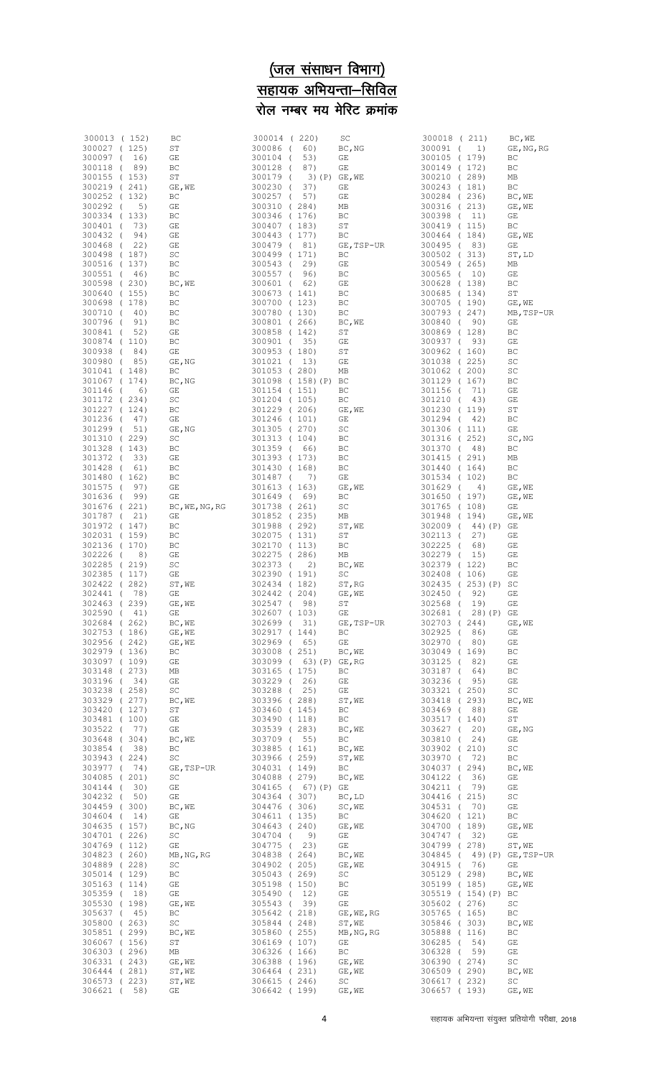## <u>(जल संसाधन विभाग)</u> <u>सहायक अभियन्ता—सिविल</u> रोल नम्बर मय मेरिट क्रमांक

| 300013 (152)                 |      | ВC             | 300014 (220)         |                     | SC                    | 300018 ( 211)            |                  | BC, WE           |
|------------------------------|------|----------------|----------------------|---------------------|-----------------------|--------------------------|------------------|------------------|
| 300027 (125)<br>300097 (     | 16)  | SТ<br>GE       | 300086 (<br>300104 ( | 60)<br>53)          | BC, NG<br>GE          | 300091 (<br>300105 (179) | 1)               | GE, NG, RG<br>BC |
| 300118 ( 89)                 |      |                |                      |                     |                       | 300149 (172)             |                  |                  |
|                              |      | ВC             | 300128 (             | 87)                 | GE                    | 300210 (289)             |                  | ВC               |
| 300155 (153)<br>300219 (241) |      | SТ<br>GE, WE   | 300179 (<br>300230 ( | 37)                 | $3)$ (P) GE, WE<br>GE | 300243 (181)             |                  | МB<br>ВC         |
| 300252 (132)                 |      | ВC             | 300257 (             | 57)                 | GE                    | 300284 (236)             |                  |                  |
| 300292 (                     | 5)   | GE             | 300310 (284)         |                     | MВ                    | 300316 (213)             |                  | BC, WE<br>GE, WE |
| 300334 (133)                 |      | ВC             | 300346 (176)         |                     | ВC                    | 300398 (                 | 11)              | GE               |
| 300401 (                     | 73)  | GE             | 300407 (183)         |                     | SТ                    | 300419 (115)             |                  | ВC               |
| 300432 (                     | 94)  | GE             | 300443 (177)         |                     | ВC                    | 300464 (184)             |                  | GE, WE           |
| 300468 (                     | 22)  | GE             | 300479 (81)          |                     | GE, TSP-UR            | 300495 (83)              |                  | GE               |
| 300498 (187)                 |      | SC             | 300499 (171)         |                     | BC                    | 300502 (313)             |                  | ST, LD           |
| 300516 (137)                 |      | ВC             | 300543 (             | 29)                 | GE                    | 300549 (265)             |                  | МB               |
| 300551 (                     | 46)  | ВC             | 300557 (             | 96)                 | ВC                    | 300565 ( 10)             |                  | GΕ               |
| 300598 (230)                 |      | BC, WE         | 300601 (             | 62)                 | GE                    | 300628 (138)             |                  | ВC               |
| 300640 (155)                 |      | ВC             | 300673 (141)         |                     | ВC                    | 300685 (134)             |                  | SΤ               |
| 300698 (178)                 |      | ВC             | 300700 (123)         |                     | BC                    | 300705 (190)             |                  | GE, WE           |
| 300710 (                     | 40)  | ВC             | 300780 (130)         |                     | BC                    | 300793 (247)             |                  | MB, TSP-UR       |
| 300796 (                     | 91)  | ВC             | 300801 (266)         |                     | BC, WE                | 300840 (                 | 90)              | GΕ               |
| 300841 (                     | 52)  | GE             | 300858 (142)         |                     | SТ                    | 300869 (128)             |                  | ВC               |
| 300874 (110)                 |      | ВC             | 300901 (35)          |                     | GE                    | 300937 (                 | 93)              | GE               |
| 300938 (                     | 84)  | GE             | 300953 (180)         |                     | SТ                    | 300962 (160)             |                  | ВC               |
| 300980 (                     | 85)  | GE, NG         | 301021 ( 13)         |                     | GE                    | 301038 (225)             |                  | SC               |
| 301041 (148)                 |      | ВC             | 301053 (280)         |                     | МB                    | 301062 (200)             |                  | SC               |
| 301067 (174)                 |      | BC, NG         |                      | 301098 (158) (P) BC |                       | 301129 (167)             |                  | ВC               |
| 301146 (                     | 6)   | GE             | 301154 (151)         |                     | ВC                    | 301156 (                 | 71)              | GE               |
| 301172 (234)                 |      | SC             | 301204 (105)         |                     | BC                    | 301210 (                 | 43)              | GΕ               |
| 301227 (124)                 |      | ВC             | 301229 (206)         |                     | GE, WE                | 301230 (119)             |                  | SΤ               |
| 301236 (                     | 47)  | GE             | 301246 (101)         |                     | GΕ                    | 301294 (                 | 42)              | ВC               |
| 301299 (                     | 51)  | GE, NG         | 301305 (270)         |                     | SC                    | 301306 (111)             |                  | GΕ               |
| 301310 (229)                 |      | SC             | 301313 (104)         |                     | ВC                    | 301316 (252)             |                  | SC, NG           |
| 301328 (143)                 |      | ВC             | 301359 (             | 66)                 | ВC                    | 301370 (                 | 48)              | ВC               |
| 301372 (                     | 33)  | GE             | 301393 (173)         |                     | ВC                    | 301415 (291)             |                  | МB               |
| 301428 (                     | 61)  | ВC             | 301430 (168)         |                     | ВC                    | 301440 (164)             |                  | BС               |
| 301480 (162)                 |      | ВC             | 301487 (             | 7)                  | GE                    | 301534 (102)             |                  | ВC               |
| 301575 (                     | 97)  | GE             | 301613 (163)         |                     | GE, WE                | 301629 (                 | 4)               | GE, WE           |
| 301636 (                     | 99)  | GE             | 301649 (             | 69)                 | ВC                    | 301650 (197)             |                  | GE, WE           |
| 301676 (221)                 |      | BC, WE, NG, RG | 301738 ( 261)        |                     | SC                    | 301765 (108)             |                  | GΕ               |
| 301787 (                     | 21)  | GE             | 301852 (235)         |                     | МB                    | 301948 (194)             |                  | GE, WE           |
| 301972 (147)                 |      | ВC             | 301988 (292)         |                     | ST, WE                | 302009 (                 | 44) (P)          | GE               |
| 302031 (159)                 |      | ВC             | 302075 (131)         |                     | ST                    | 302113 (                 | 27)              | GE               |
| 302136 (170)                 |      | ВC             | 302170 (113)         |                     | ВC                    | 302225 (                 | 68)              | GΕ               |
| 302226 (                     | 8)   | GE             | 302275 (286)         |                     | МB                    | 302279 (                 | 15)              | GΕ               |
| 302285 (219)                 |      | SC             | 302373 (             | 2)                  | BC, WE                | 302379 (122)             |                  | ВC               |
| 302385 (117)                 |      | GE             | 302390 (191)         |                     | SC                    | 302408 (106)             |                  | GΕ               |
| 302422 (282)                 |      | ST, WE         | 302434 (182)         |                     | ST, RG                |                          | 302435 (253)(P)  | SC               |
| 302441 (                     | 78)  | GE             | 302442 (204)         |                     | GE, WE                | 302450 (                 | 92)              | GE               |
| 302463 (                     | 239) | $GE$ , $WE$    | 302547 (             | 98)                 | SΤ                    | 302568 (                 | 19)              | GΕ               |
| 302590 (                     | 41)  | GE             | 302607 (103)         |                     | GΕ                    | 302681 (                 | 28) (P)          | GE               |
| 302684 (262)                 |      | BC, WE         | 302699 (             | 31)                 | GE, TSP-UR            | 302703 (244)             |                  | GE, WE           |
| 302753 (186)                 |      | GE, WE         | 302917 (144)         |                     | BC                    | 302925 (                 | 86)              | GE               |
| 302956 (242)                 |      | GE, WE         | 302969 (             | 65)                 | GE                    | 302970 (                 | 80)              | GΕ               |
| 302979 (136)                 |      | ВC             | 303008 (251)         |                     | BC, WE                | 303049 (169)             |                  | ВC               |
| 303097 (109)                 |      | GE             | 303099 (             | 63) (P) GE, RG      |                       | 303125 (                 | 82)              | GE               |
| 303148 (273)                 |      | МB             | 303165 (175)         |                     | BC                    | 303187 (                 | 64)              | ВC               |
| 303196 (34)                  |      | GE             | 303229 (             | 26)                 | GΕ                    | 303236 (                 | 95)              | GΕ               |
| 303238 (258)                 |      | SC             | 303288 (             | 25)                 | GΕ                    | 303321 (250)             |                  | SC               |
| 303329 (277)                 |      | BC, WE         | 303396 (288)         |                     | ST, WE                | 303418 (293)             |                  | BC, WE           |
| 303420 (127)                 |      | ST             | 303460 (145)         |                     | ВC                    | 303469 (                 | 88)              | GΕ               |
| 303481 (100)                 |      | GE             | 303490 (118)         |                     | BC                    | 303517 (140)             |                  | ST               |
| 303522 (                     | 77)  | GE             | 303539 (283)         |                     | BC, WE                | 303627 (                 | 20)              | GE, NG           |
| 303648 (304)                 |      | BC, WE         | 303709 ( 55)         |                     | BC                    | 303810 (                 | 24)              | GΕ               |
| 303854 (                     | 38)  | ВC             | 303885 (161)         |                     | BC, WE                | 303902 (210)             |                  | SC               |
| 303943 (224)                 |      | SC             | 303966 (259)         |                     | ST, WE                | 303970 (                 | 72)              | ВC               |
| 303977 ( 74)                 |      | GE, TSP-UR     | 304031 (149)         |                     | ВC                    | 304037 (294)             |                  | BC, WE           |
| 304085 (201)                 |      | SC             | 304088 (279)         |                     | BC, WE                | 304122 (                 | 36)              | GΕ               |
| 304144 (                     | 30)  | GΕ             | 304165 (             | 67) (P) GE          |                       | 304211 (                 | 79)              | GE               |
| 304232 (                     | 50)  | GE             | 304364 (307)         |                     | BC, LD                | 304416 (215)             |                  | SC               |
| 304459 (300)                 |      | BC, WE         | 304476 (306)         |                     | SC, WE                | 304531 (                 | 70)              | GE               |
| 304604 ( 14)                 |      | GE             | 304611 (135)         |                     | ВC                    | 304620 (121)             |                  | ВC               |
| 304635 (157)                 |      | BC, NG         | 304643 (240)         |                     | GE, WE                | 304700 (189)             |                  | GE, WE           |
| 304701 (226)                 |      | SC             | 304704 (             | 9)                  | GE                    | 304747 (                 | 32)              | GE               |
| 304769 (112)                 |      | GE             | 304775 (             | 23)                 | GE                    | 304799 (278)             |                  | ST, WE           |
| 304823 (260)                 |      | MB, NG, RG     | 304838 (264)         |                     | BC, WE                | 304845 (                 | 49) (P)          | GE, TSP-UR       |
| 304889 (228)                 |      | SC             | 304902 (205)         |                     | GE, WE                | 304915 (                 | 76)              | GE               |
| 305014 (129)                 |      | ВC             | 305043 (269)         |                     | SC                    | 305129 (298)             |                  | BC, WE           |
| 305163 (114)                 |      | GE             | 305198 (150)         |                     | ВC                    | 305199 (185)             |                  | GE, WE           |
| 305359 ( 18)                 |      | GE             | 305490 (             | 12)                 | GΕ                    |                          | 305519 (154) (P) | ВC               |
| 305530 (198)                 |      | GE, WE         | 305543 (             | 39)                 | GE                    | 305602 (276)             |                  | SC               |
| 305637 (                     | 45)  | ВC             | 305642 (218)         |                     | GE, WE, RG            | 305765 (165)             |                  | ВC               |
| 305800 (263)                 |      | SC             | 305844 (248)         |                     | ST, WE                | 305846 (303)             |                  | BC, WE           |
| 305851 (299)                 |      | BC, WE         | 305860 (255)         |                     | MB, NG, RG            | 305888 (116)             |                  | ВC               |
| 306067 (156)                 |      | ST             | 306169 (107)         |                     | GE                    | 306285 (                 | 54)              | GΕ               |
| 306303 (296)                 |      | МB             | 306326 (166)         |                     | BC                    | 306328 (                 | 59)              | GΕ               |
| 306331 (243)                 |      | GE, WE         | 306388 (196)         |                     | GE, WE                | 306390 (274)             |                  | SC               |
| 306444 (281)                 |      | ST, WE         | 306464 (231)         |                     | GE, WE                | 306509 (290)             |                  | BC, WE           |
| 306573 (223)                 |      | ST, WE         | 306615 (246)         |                     | SC                    | 306617 (232)             |                  | SC               |
| 306621 (                     | 58)  | GΕ             | 306642 (199)         |                     | GE, WE                | 306657 (193)             |                  | GE, WE           |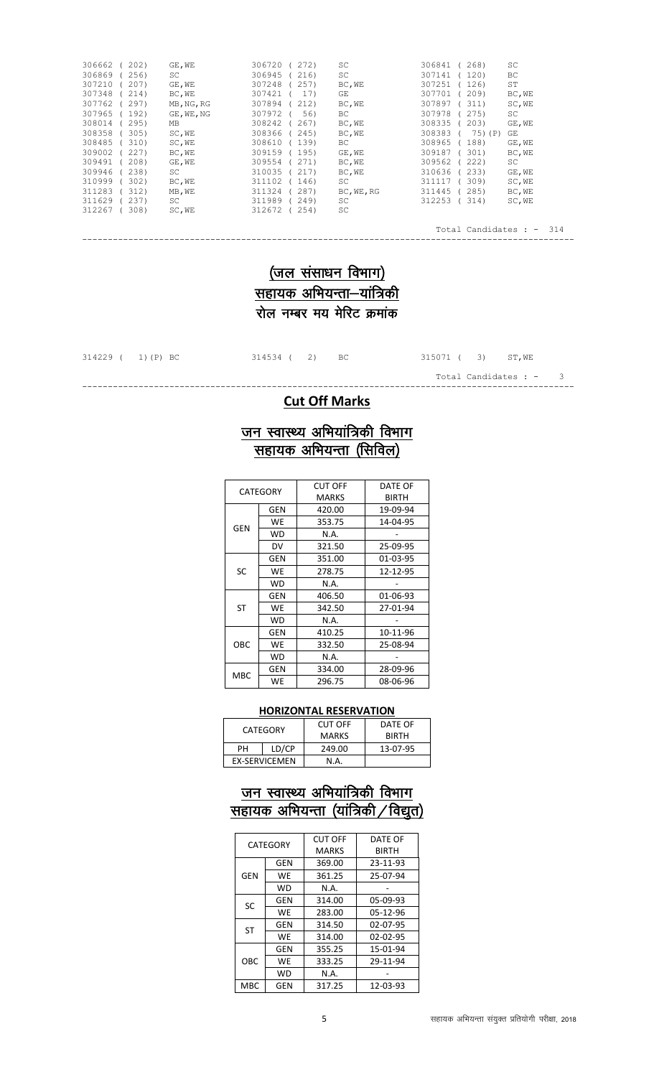| 306662<br>202) | GE, WE     | 306720<br>272) | SC         | 306841<br>268)     | SC                              |
|----------------|------------|----------------|------------|--------------------|---------------------------------|
| 306869<br>256) | <b>SC</b>  | 306945<br>216) | SC         | 307141<br>120)     | ВC                              |
| 307210<br>207) | GE, WE     | 307248<br>257) | BC, WE     | 307251<br>126)     | <b>ST</b>                       |
| 307348<br>214) | BC, WE     | 307421<br>17)  | GE         | 307701<br>209)     | BC, WE                          |
| 307762<br>297) | MB, NG, RG | 307894<br>212) | BC, WE     | 307897<br>311)     | SC, WE                          |
| 307965<br>192) | GE, WE, NG | 307972<br>56)  | ВC         | 307978<br>275)     | <b>SC</b>                       |
| 308014<br>295) | МB         | 308242<br>267) | BC, WE     | 308335<br>203)     | GE, WE                          |
| 308358<br>305) | SC, WE     | 308366<br>245) | BC, WE     | 308383<br>75) (P)  | GE                              |
| 308485<br>310) | SC, WE     | 308610<br>139) | ВC         | 308965<br>188)     | GE, WE                          |
| 309002<br>227) | BC, WE     | 309159<br>195) | GE, WE     | 309187<br>301)     | BC, WE                          |
| 309491<br>208) | GE, WE     | 309554<br>271) | BC, WE     | 309562<br>222)     | SC                              |
| 309946<br>238) | SC         | 310035<br>217) | BC, WE     | 310636<br>233)     | GE, WE                          |
| 310999<br>302) | BC, WE     | 311102<br>146) | SC         | 311117<br>309)     | SC, WE                          |
| 311283<br>312) | MB, WE     | 311324<br>287) | BC, WE, RG | 311445<br>285)     | BC, WE                          |
| 311629<br>237) | SC         | 311989<br>249) | SC         | 312253<br>314)     | SC, WE                          |
| 312267<br>308) | SC, WE     | 312672<br>254) | SC         |                    |                                 |
|                |            |                |            |                    |                                 |
|                |            |                |            | Total Candidates : | 314<br>$\overline{\phantom{a}}$ |
|                |            |                |            |                    |                                 |

## $($ जल संसाधन विभाग) ्<br><u>सहायक अभियन्ता–यांत्रिकी</u>  $\overline{v}$ रोल नम्बर मय मेरिट क्रमांक

314534 ( 2) BC 315071 ( 3) ST, WE

Total Candidates :  $-$  3 ------------------------------------------------------------------------------------------------

#### **Cut Off Marks**

### <u>जन स्वास्थ्य अभियांत्रिकी विभाग</u> <u>सहायक अभियन्ता (सिविल)</u>

| CATEGORY  |           | CUT OFF | DATE OF  |
|-----------|-----------|---------|----------|
|           |           | MARKS   | BIRTH    |
|           | GEN       | 420.00  | 19-09-94 |
| GEN       | WE        | 353.75  | 14-04-95 |
|           | <b>WD</b> | N.A.    |          |
|           | DV        | 321.50  | 25-09-95 |
| <b>SC</b> | GEN       | 351.00  | 01-03-95 |
|           | WE        | 278.75  | 12-12-95 |
|           | WD        | N.A.    |          |
|           | GEN       | 406.50  | 01-06-93 |
| <b>ST</b> | WE        | 342.50  | 27-01-94 |
|           | WD        | N.A.    |          |
|           | GEN       | 410.25  | 10-11-96 |
| OBC       | WE        | 332.50  | 25-08-94 |
|           | <b>WD</b> | N.A.    |          |
|           | GEN       | 334.00  | 28-09-96 |
| MBC       | WE        | 296.75  | 08-06-96 |

#### **HORIZONTAL RESERVATION**

|             | CATEGORY      | CUT OFF      | DATF OF      |
|-------------|---------------|--------------|--------------|
|             |               | <b>MARKS</b> | <b>BIRTH</b> |
| LD/CP<br>PН |               | 249.00       | 13-07-95     |
|             | EX-SERVICEMEN | N.A          |              |

#### <u>जन स्वास्थ्य अभियांत्रिकी विभाग</u> <u>सहायक अभियन्ता (यांत्रिकी ⁄ विद्युत)</u>

| <b>CATEGORY</b> |            | <b>CUT OFF</b> | DATE OF        |
|-----------------|------------|----------------|----------------|
|                 |            | <b>MARKS</b>   | <b>BIRTH</b>   |
|                 | <b>GEN</b> | 369.00         | 23-11-93       |
| GEN             | WE         | 361.25         | 25-07-94       |
|                 | WD         | N.A.           |                |
| SC              | GEN        | 314.00         | 05-09-93       |
|                 | WE         | 283.00         | 05-12-96       |
| <b>ST</b>       | GEN        | 314.50         | 02-07-95       |
|                 | WE         | 314.00         | $02 - 02 - 95$ |
| OBC             | GEN        | 355.25         | 15-01-94       |
|                 | WE         | 333.25         | 29-11-94       |
|                 | WD         | N.A.           |                |
| MBC             | GEN        | 317.25         | 12-03-93       |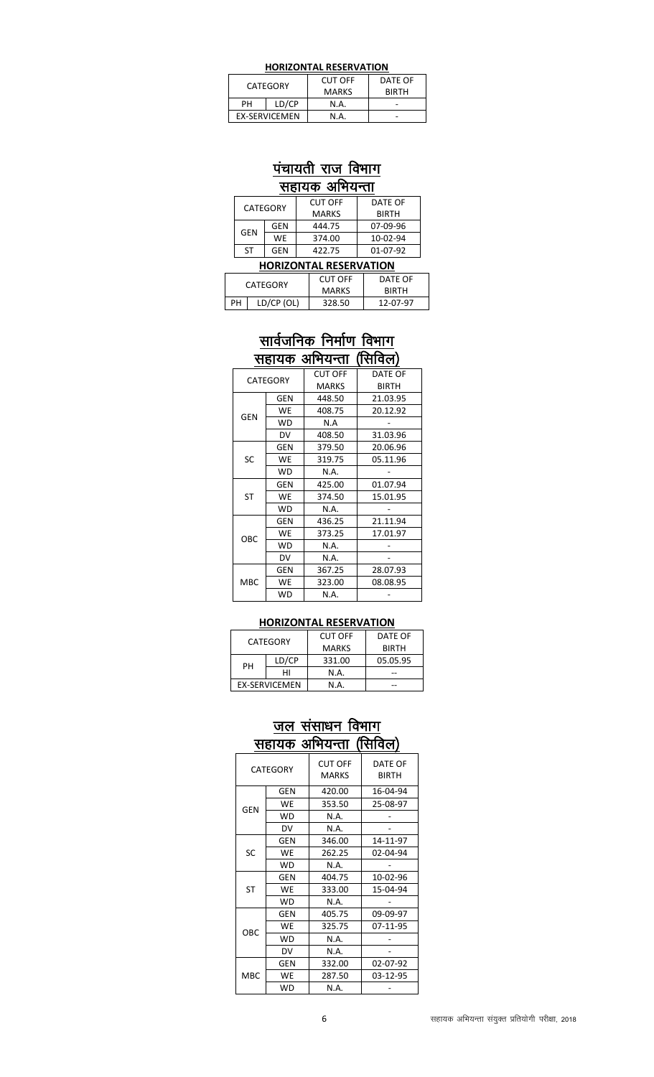| CATEGORY             |  | <b>CUT OFF</b> | DATE OF      |
|----------------------|--|----------------|--------------|
|                      |  | <b>MARKS</b>   | <b>BIRTH</b> |
| LD/CP<br>PН          |  | N.A.           |              |
| <b>EX-SERVICEMEN</b> |  | N.A            |              |

# <u>पंचायती राज विभाग</u>

<u>सहायक अभियन्ता</u>

| CATEGORY |     | <b>CUT OFF</b> | DATE OF      |
|----------|-----|----------------|--------------|
|          |     | <b>MARKS</b>   | <b>BIRTH</b> |
| GEN      | GEN | 444.75         | 07-09-96     |
|          | WF. | 374.00         | 10-02-94     |
| ٢Т       | GFN | 422.75         | 01-07-92     |

|  | <b>HORIZONTAL RESERVATION</b> |            |                |              |  |
|--|-------------------------------|------------|----------------|--------------|--|
|  | CATEGORY                      |            | <b>CUT OFF</b> | DATE OF      |  |
|  |                               |            | <b>MARKS</b>   | <b>BIRTH</b> |  |
|  | PН                            | LD/CP (OL) | 328.50         | 12-07-97     |  |

### <u>सार्वजनिक निर्माण विभाग</u> सहायक अभियन्ता (सिविल)

Ξ

| ,,,,,,,<br>◡<br>.<br>,,,,,,,,, |            |                |              |  |
|--------------------------------|------------|----------------|--------------|--|
| <b>CATEGORY</b>                |            | <b>CUT OFF</b> | DATE OF      |  |
|                                |            | <b>MARKS</b>   | <b>BIRTH</b> |  |
|                                | <b>GEN</b> | 448.50         | 21.03.95     |  |
| <b>GEN</b>                     | WE         | 408.75         | 20.12.92     |  |
|                                | <b>WD</b>  | N.A            |              |  |
|                                | DV         | 408.50         | 31.03.96     |  |
|                                | <b>GEN</b> | 379.50         | 20.06.96     |  |
| SC                             | WE         | 319.75         | 05.11.96     |  |
|                                | <b>WD</b>  | N.A.           |              |  |
|                                | <b>GEN</b> | 425.00         | 01.07.94     |  |
| <b>ST</b>                      | WE         | 374.50         | 15.01.95     |  |
|                                | WD.        | N.A.           |              |  |
|                                | <b>GEN</b> | 436.25         | 21.11.94     |  |
| OBC                            | WE         | 373.25         | 17.01.97     |  |
|                                | WD         | N.A.           |              |  |
|                                | DV         | N.A.           |              |  |
| MBC                            | <b>GEN</b> | 367.25         | 28.07.93     |  |
|                                | WE         | 323.00         | 08.08.95     |  |
|                                | WD         | N.A.           |              |  |

#### **HORIZONTAL RESERVATION**

| CATEGORY             |       | <b>CUT OFF</b> | DATE OF      |
|----------------------|-------|----------------|--------------|
|                      |       | <b>MARKS</b>   | <b>BIRTH</b> |
| PН                   | LD/CP | 331.00         | 05.05.95     |
|                      | нι    | N.A.           |              |
| <b>EX-SERVICEMEN</b> |       | N.A.           |              |
|                      |       |                |              |

### <u>जल संसाधन विभाग</u> <u>सहायक अभियन्ता (सिविल)</u>

| CATEGORY   |           | <b>CUT OFF</b><br><b>MARKS</b> | DATE OF<br><b>BIRTH</b> |
|------------|-----------|--------------------------------|-------------------------|
|            | GEN       | 420.00                         | 16-04-94                |
|            | WE        | 353.50                         | 25-08-97                |
| GEN        | WD        | N.A.                           |                         |
|            | DV        | N.A.                           |                         |
|            | GEN       | 346.00                         | 14-11-97                |
| SC         | WE        | 262.25                         | 02-04-94                |
|            | WD        | N.A.                           |                         |
|            | GEN       | 404.75                         | 10-02-96                |
| <b>ST</b>  | WE        | 333.00                         | 15-04-94                |
|            | <b>WD</b> | N.A.                           |                         |
|            | GEN       | 405.75                         | 09-09-97                |
| OBC        | WE        | 325.75                         | 07-11-95                |
|            | <b>WD</b> | N.A.                           |                         |
|            | DV        | N.A.                           |                         |
|            | GEN       | 332.00                         | 02-07-92                |
| <b>MBC</b> | WE        | 287.50                         | 03-12-95                |
|            | <b>WD</b> | N.A.                           |                         |